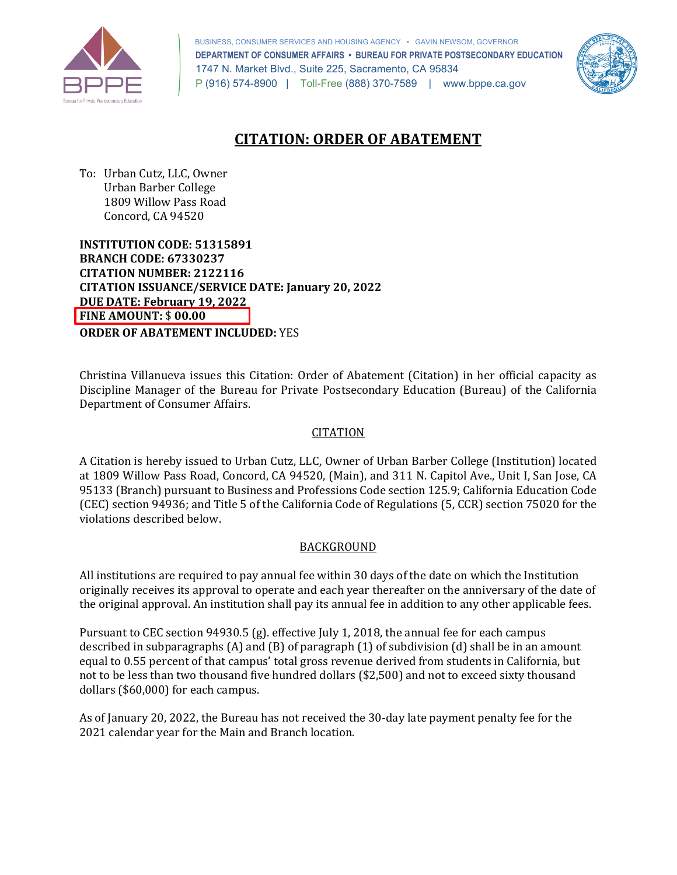

 BUSINESS, CONSUMER SERVICES AND HOUSING AGENCY • GAVIN NEWSOM, GOVERNOR  **DEPARTMENT OF CONSUMER AFFAIRS • BUREAU FOR PRIVATE POSTSECONDARY EDUCATION**  1747 N. Market Blvd., Suite 225, Sacramento, CA 95834 P (916) 574-8900 | Toll-Free (888) 370-7589 | <www.bppe.ca.gov>



# **CITATION: ORDER OF ABATEMENT**

 To: Urban Cutz, LLC, Owner 1809 Willow Pass Road Concord, CA 94520 Urban Barber College

 **INSTITUTION CODE: 51315891 BRANCH CODE: 67330237 CITATION NUMBER: 2122116 CITATION ISSUANCE/SERVICE DATE: January 20, 2022 DUE DATE: February 19, 2022 FINE AMOUNT:** \$ **00.00 ORDER OF ABATEMENT INCLUDED:** YES

 Christina Villanueva issues this Citation: Order of Abatement (Citation) in her official capacity as Department of Consumer Affairs. Discipline Manager of the Bureau for Private Postsecondary Education (Bureau) of the California

### **CITATION**

 (CEC) section 94936; and Title 5 of the California Code of Regulations (5, CCR) section 75020 for the A Citation is hereby issued to Urban Cutz, LLC, Owner of Urban Barber College (Institution) located at 1809 Willow Pass Road, Concord, CA 94520, (Main), and 311 N. Capitol Ave., Unit I, San Jose, CA 95133 (Branch) pursuant to Business and Professions Code section 125.9; California Education Code violations described below.

### **BACKGROUND**

 All institutions are required to pay annual fee within 30 days of the date on which the Institution originally receives its approval to operate and each year thereafter on the anniversary of the date of the original approval. An institution shall pay its annual fee in addition to any other applicable fees.

 Pursuant to CEC section 94930.5 (g). effective July 1, 2018, the annual fee for each campus described in subparagraphs (A) and (B) of paragraph (1) of subdivision (d) shall be in an amount equal to 0.55 percent of that campus' total gross revenue derived from students in California, but not to be less than two thousand five hundred dollars (\$2,500) and not to exceed sixty thousand dollars (\$60,000) for each campus.

 As of January 20, 2022, the Bureau has not received the 30-day late payment penalty fee for the 2021 calendar year for the Main and Branch location.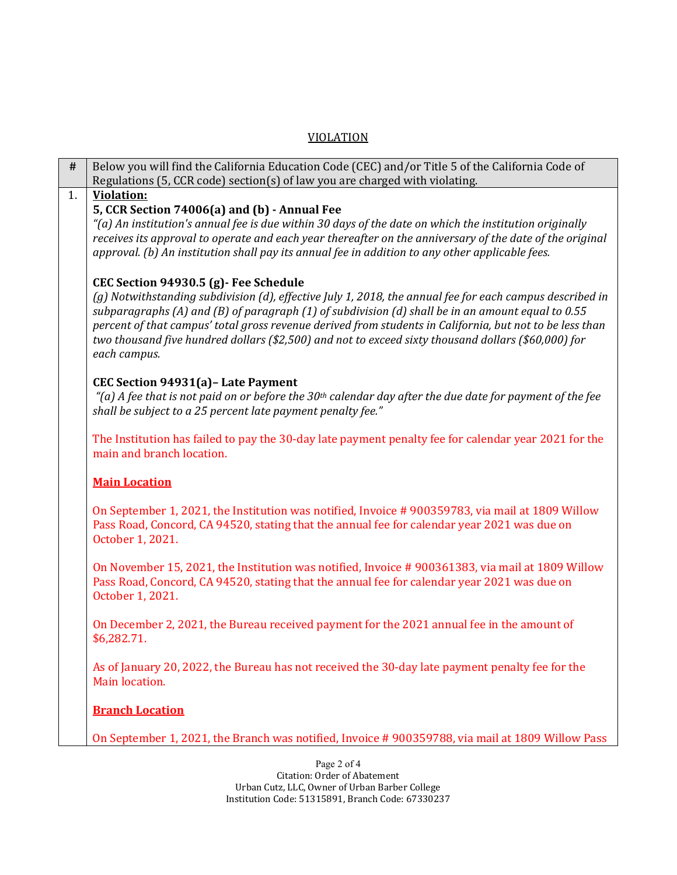### VIOLATION

| $\#$ | Below you will find the California Education Code (CEC) and/or Title 5 of the California Code of                                                                                               |  |
|------|------------------------------------------------------------------------------------------------------------------------------------------------------------------------------------------------|--|
|      | Regulations (5, CCR code) section(s) of law you are charged with violating.                                                                                                                    |  |
| 1.   | <b>Violation:</b>                                                                                                                                                                              |  |
|      | 5, CCR Section 74006(a) and (b) - Annual Fee                                                                                                                                                   |  |
|      | "(a) An institution's annual fee is due within 30 days of the date on which the institution originally                                                                                         |  |
|      | receives its approval to operate and each year thereafter on the anniversary of the date of the original                                                                                       |  |
|      | approval. (b) An institution shall pay its annual fee in addition to any other applicable fees.                                                                                                |  |
|      |                                                                                                                                                                                                |  |
|      | CEC Section 94930.5 (g) - Fee Schedule                                                                                                                                                         |  |
|      | (g) Notwithstanding subdivision (d), effective July 1, 2018, the annual fee for each campus described in                                                                                       |  |
|      | subparagraphs (A) and (B) of paragraph (1) of subdivision (d) shall be in an amount equal to 0.55                                                                                              |  |
|      | percent of that campus' total gross revenue derived from students in California, but not to be less than                                                                                       |  |
|      | two thousand five hundred dollars (\$2,500) and not to exceed sixty thousand dollars (\$60,000) for                                                                                            |  |
|      | each campus.                                                                                                                                                                                   |  |
|      | CEC Section 94931(a) - Late Payment                                                                                                                                                            |  |
|      | "(a) A fee that is not paid on or before the 30 <sup>th</sup> calendar day after the due date for payment of the fee                                                                           |  |
|      | shall be subject to a 25 percent late payment penalty fee."                                                                                                                                    |  |
|      |                                                                                                                                                                                                |  |
|      | The Institution has failed to pay the 30-day late payment penalty fee for calendar year 2021 for the                                                                                           |  |
|      | main and branch location.                                                                                                                                                                      |  |
|      |                                                                                                                                                                                                |  |
|      | <b>Main Location</b>                                                                                                                                                                           |  |
|      |                                                                                                                                                                                                |  |
|      | On September 1, 2021, the Institution was notified, Invoice #900359783, via mail at 1809 Willow<br>Pass Road, Concord, CA 94520, stating that the annual fee for calendar year 2021 was due on |  |
|      | October 1, 2021.                                                                                                                                                                               |  |
|      |                                                                                                                                                                                                |  |
|      | On November 15, 2021, the Institution was notified, Invoice #900361383, via mail at 1809 Willow                                                                                                |  |
|      | Pass Road, Concord, CA 94520, stating that the annual fee for calendar year 2021 was due on                                                                                                    |  |
|      | October 1, 2021.                                                                                                                                                                               |  |
|      |                                                                                                                                                                                                |  |
|      | On December 2, 2021, the Bureau received payment for the 2021 annual fee in the amount of                                                                                                      |  |
|      | \$6,282.71.                                                                                                                                                                                    |  |
|      |                                                                                                                                                                                                |  |
|      | As of January 20, 2022, the Bureau has not received the 30-day late payment penalty fee for the                                                                                                |  |
|      | Main location.                                                                                                                                                                                 |  |
|      | <b>Branch Location</b>                                                                                                                                                                         |  |
|      |                                                                                                                                                                                                |  |
|      | On September 1, 2021, the Branch was notified, Invoice #900359788, via mail at 1809 Willow Pass                                                                                                |  |
|      |                                                                                                                                                                                                |  |
|      | Page $2.0f4$                                                                                                                                                                                   |  |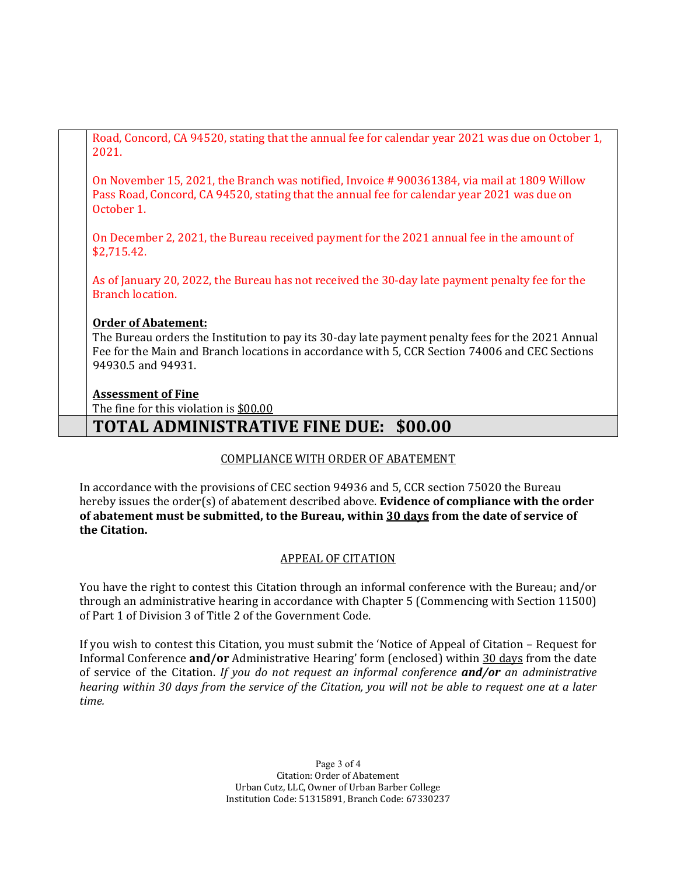Road, Concord, CA 94520, stating that the annual fee for calendar year 2021 was due on October 1, 2021.

 On November 15, 2021, the Branch was notified, Invoice # 900361384, via mail at 1809 Willow Pass Road, Concord, CA 94520, stating that the annual fee for calendar year 2021 was due on October 1.

 On December 2, 2021, the Bureau received payment for the 2021 annual fee in the amount of \$2,715.42.

 As of January 20, 2022, the Bureau has not received the 30-day late payment penalty fee for the Branch location.

### **Order of Abatement:**

 The Bureau orders the Institution to pay its 30-day late payment penalty fees for the 2021 Annual Fee for the Main and Branch locations in accordance with 5, CCR Section 74006 and CEC Sections 94930.5 and 94931.

### **Assessment of Fine**

The fine for this violation is <u>\$00.00</u>

## **TOTAL ADMINISTRATIVE FINE DUE: \$00.00**

## COMPLIANCE WITH ORDER OF ABATEMENT

 In accordance with the provisions of CEC section 94936 and 5, CCR section 75020 the Bureau hereby issues the order(s) of abatement described above. **Evidence of compliance with the order of abatement must be submitted, to the Bureau, within 30 days from the date of service of the Citation.** 

### APPEAL OF CITATION

 You have the right to contest this Citation through an informal conference with the Bureau; and/or through an administrative hearing in accordance with Chapter 5 (Commencing with Section 11500) of Part 1 of Division 3 of Title 2 of the Government Code.

 If you wish to contest this Citation, you must submit the 'Notice of Appeal of Citation – Request for  *hearing within 30 days from the service of the Citation, you will not be able to request one at a later*  Informal Conference **and/or** Administrative Hearing' form (enclosed) within 30 days from the date of service of the Citation. *If you do not request an informal conference and/or an administrative time.* 

> Page 3 of 4 Citation: Order of Abatement Urban Cutz, LLC, Owner of Urban Barber College Institution Code: 51315891, Branch Code: 67330237